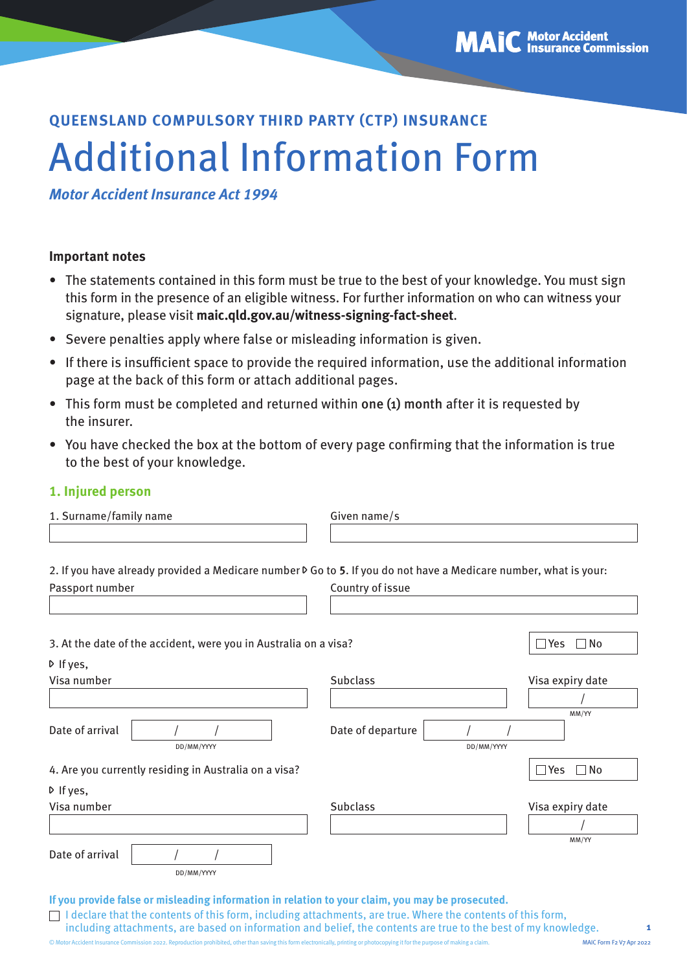# **QUEENSLAND COMPULSORY THIRD PARTY (CTP) INSURANCE** Additional Information Form

**Motor Accident Insurance Act 1994**

## **Important notes**

- The statements contained in this form must be true to the best of your knowledge. You must sign this form in the presence of an eligible witness. For further information on who can witness your signature, please visit **[maic.qld.gov.au/witness-signing-fact-sheet](http://maic.qld.gov.au/witness-signing-fact-sheet)**.
- Severe penalties apply where false or misleading information is given.
- If there is insufficient space to provide the required information, use the additional information page at the back of this form or attach additional pages.
- This form must be completed and returned within one (1) month after it is requested by the insurer.
- You have checked the box at the bottom of every page confirming that the information is true to the best of your knowledge.

## **1. Injured person**

| Given name/s                                                                                                                    |                                 |
|---------------------------------------------------------------------------------------------------------------------------------|---------------------------------|
|                                                                                                                                 |                                 |
| 2. If you have already provided a Medicare number $\triangleright$ Go to 5. If you do not have a Medicare number, what is your: |                                 |
| Country of issue                                                                                                                |                                 |
| 3. At the date of the accident, were you in Australia on a visa?                                                                | $\square$ No<br>$\sqsupset$ Yes |
|                                                                                                                                 |                                 |
| <b>Subclass</b>                                                                                                                 | Visa expiry date                |
|                                                                                                                                 |                                 |
| Date of departure<br>DD/MM/YYYY                                                                                                 | MM/YY                           |
|                                                                                                                                 | $\Box$ Yes<br>$\Box$ No         |
|                                                                                                                                 |                                 |
| <b>Subclass</b>                                                                                                                 | Visa expiry date                |
|                                                                                                                                 |                                 |
|                                                                                                                                 | MM/YY                           |
|                                                                                                                                 |                                 |
|                                                                                                                                 |                                 |

**If you provide false or misleading information in relation to your claim, you may be prosecuted.** 

 $\Box$  I declare that the contents of this form, including attachments, are true. Where the contents of this form, including attachments, are based on information and belief, the contents are true to the best of my knowledge.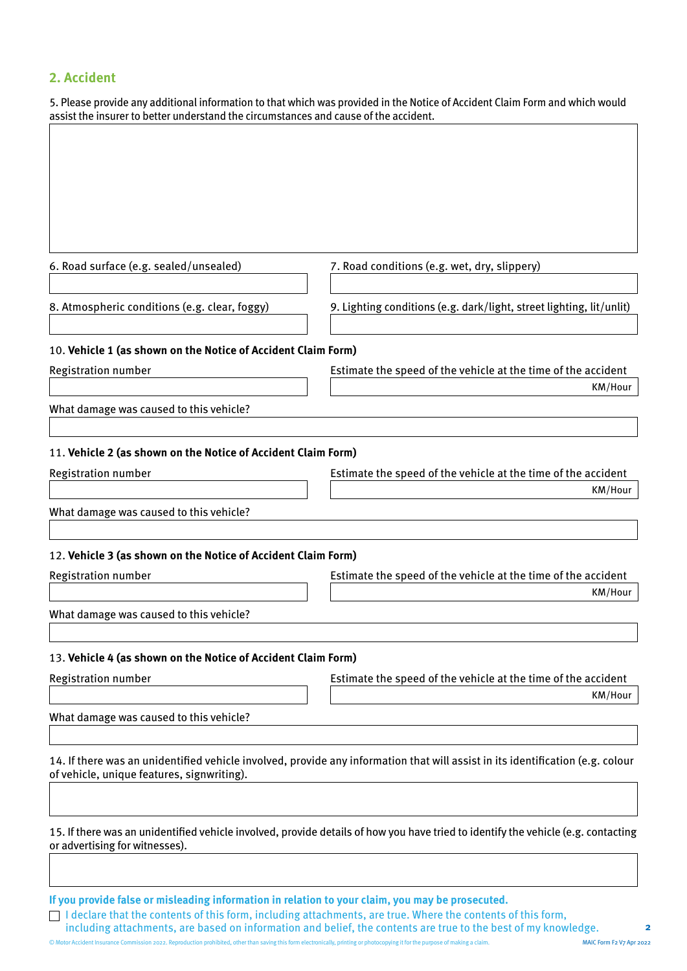# **2. Accident**

| 5. Please provide any additional information to that which was provided in the Notice of Accident Claim Form and which would |
|------------------------------------------------------------------------------------------------------------------------------|
| assist the insurer to better understand the circumstances and cause of the accident.                                         |

| 6. Road surface (e.g. sealed/unsealed)                                                      | 7. Road conditions (e.g. wet, dry, slippery)                                                                                      |
|---------------------------------------------------------------------------------------------|-----------------------------------------------------------------------------------------------------------------------------------|
| 8. Atmospheric conditions (e.g. clear, foggy)                                               | 9. Lighting conditions (e.g. dark/light, street lighting, lit/unlit)                                                              |
| 10. Vehicle 1 (as shown on the Notice of Accident Claim Form)                               |                                                                                                                                   |
| <b>Registration number</b>                                                                  | Estimate the speed of the vehicle at the time of the accident                                                                     |
|                                                                                             | KM/Hour                                                                                                                           |
| What damage was caused to this vehicle?                                                     |                                                                                                                                   |
| 11. Vehicle 2 (as shown on the Notice of Accident Claim Form)                               |                                                                                                                                   |
| <b>Registration number</b>                                                                  | Estimate the speed of the vehicle at the time of the accident                                                                     |
|                                                                                             | KM/Hour                                                                                                                           |
| What damage was caused to this vehicle?                                                     |                                                                                                                                   |
| 12. Vehicle 3 (as shown on the Notice of Accident Claim Form)<br><b>Registration number</b> | Estimate the speed of the vehicle at the time of the accident<br>KM/Hour                                                          |
| What damage was caused to this vehicle?                                                     |                                                                                                                                   |
| 13. Vehicle 4 (as shown on the Notice of Accident Claim Form)                               |                                                                                                                                   |
| <b>Registration number</b>                                                                  | Estimate the speed of the vehicle at the time of the accident                                                                     |
|                                                                                             | KM/Hour                                                                                                                           |
| What damage was caused to this vehicle?                                                     |                                                                                                                                   |
| of vehicle, unique features, signwriting).                                                  | 14. If there was an unidentified vehicle involved, provide any information that will assist in its identification (e.g. colour    |
| or advertising for witnesses).                                                              | 15. If there was an unidentified vehicle involved, provide details of how you have tried to identify the vehicle (e.g. contacting |
|                                                                                             |                                                                                                                                   |

**If you provide false or misleading information in relation to your claim, you may be prosecuted.** 

I declare that the contents of this form, including attachments, are true. Where the contents of this form, including attachments, are based on information and belief, the contents are true to the best of my knowledge.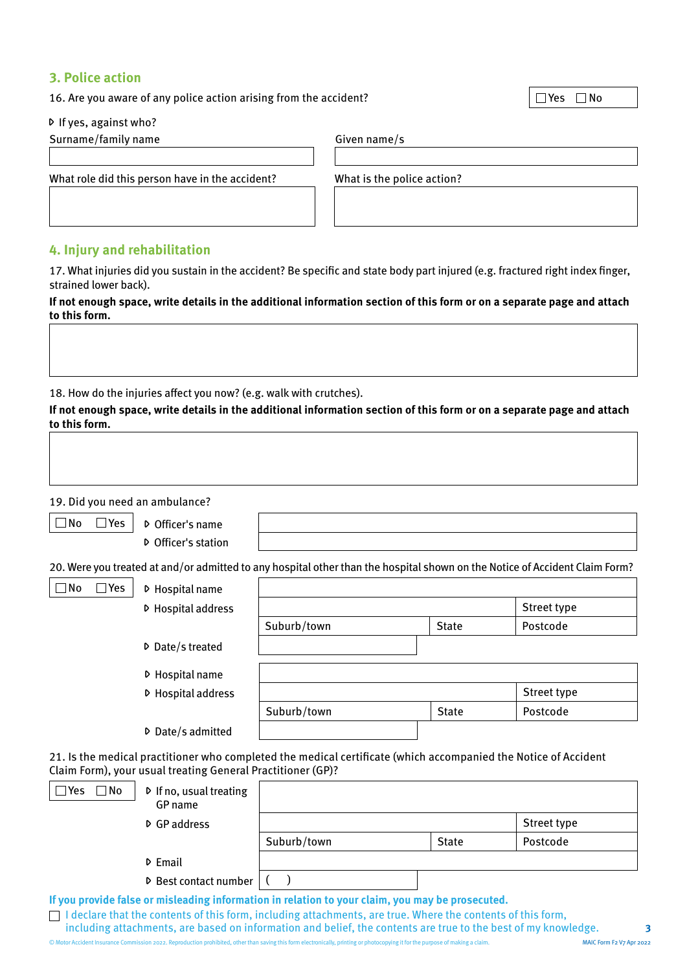#### **3. Police action**

16. Are you aware of any police action arising from the accident?  $\Box$  Yes  $\Box$  No

If yes, against who?

Surname/family name Given name/s

What role did this person have in the accident? What is the police action?

## **4. Injury and rehabilitation**

17. What injuries did you sustain in the accident? Be specific and state body part injured (e.g. fractured right index finger, strained lower back).

| If not enough space, write details in the additional information section of this form or on a separate page and attach |  |
|------------------------------------------------------------------------------------------------------------------------|--|
| to this form.                                                                                                          |  |

18. How do the injuries affect you now? (e.g. walk with crutches).

**If not enough space, write details in the additional information section of this form or on a separate page and attach to this form.**

19. Did you need an ambulance?

 $\Box$  No  $\Box$  Yes  $\Box$  D Officer's name

Officer's station

20. Were you treated at and/or admitted to any hospital other than the hospital shown on the Notice of Accident Claim Form?

| $\square$ No<br>∃Yes | ▷ Hospital name          |             |              |             |
|----------------------|--------------------------|-------------|--------------|-------------|
|                      | D Hospital address       |             |              | Street type |
|                      |                          | Suburb/town | <b>State</b> | Postcode    |
|                      | <b>▷</b> Date/s treated  |             |              |             |
|                      | ▷ Hospital name          |             |              |             |
|                      | D Hospital address       |             |              | Street type |
|                      |                          | Suburb/town | <b>State</b> | Postcode    |
|                      | <b>▷</b> Date/s admitted |             |              |             |

21. Is the medical practitioner who completed the medical certificate (which accompanied the Notice of Accident Claim Form), your usual treating General Practitioner (GP)?

| $\Box$ No<br>l Yes | $\triangleright$ If no, usual treating<br>GP name |                                                                                                  |              |             |
|--------------------|---------------------------------------------------|--------------------------------------------------------------------------------------------------|--------------|-------------|
|                    | D GP address                                      |                                                                                                  |              | Street type |
|                    |                                                   | Suburb/town                                                                                      | <b>State</b> | Postcode    |
|                    | D Email                                           |                                                                                                  |              |             |
|                    | D Best contact number                             |                                                                                                  |              |             |
|                    |                                                   | If you provide false or misleading information in relation to your claim, you may be prosecuted. |              |             |

 $\Box$  I declare that the contents of this form, including attachments, are true. Where the contents of this form,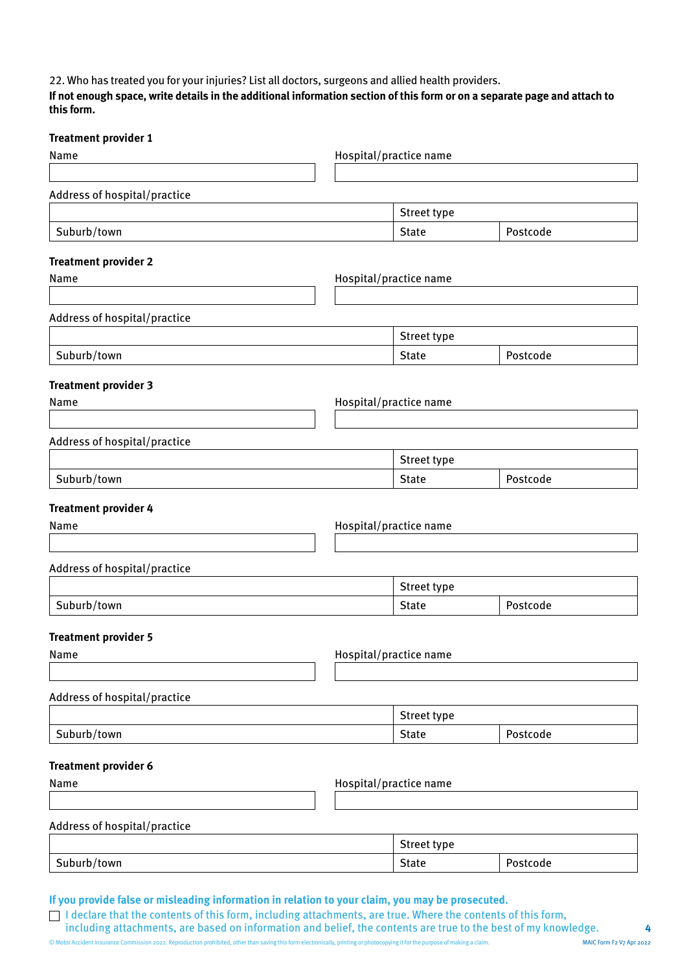22. Who has treated you for your injuries? List all doctors, surgeons and allied health providers.

**If not enough space, write details in the additional information section of this form or on a separate page and attach to this form.**

| Street type  |                                                                                                                                                                                                       |
|--------------|-------------------------------------------------------------------------------------------------------------------------------------------------------------------------------------------------------|
| <b>State</b> | Postcode                                                                                                                                                                                              |
|              |                                                                                                                                                                                                       |
|              |                                                                                                                                                                                                       |
|              |                                                                                                                                                                                                       |
|              |                                                                                                                                                                                                       |
| Street type  |                                                                                                                                                                                                       |
| <b>State</b> | Postcode                                                                                                                                                                                              |
|              |                                                                                                                                                                                                       |
|              |                                                                                                                                                                                                       |
|              |                                                                                                                                                                                                       |
|              |                                                                                                                                                                                                       |
| Street type  |                                                                                                                                                                                                       |
| <b>State</b> | Postcode                                                                                                                                                                                              |
|              |                                                                                                                                                                                                       |
|              |                                                                                                                                                                                                       |
|              |                                                                                                                                                                                                       |
|              |                                                                                                                                                                                                       |
|              |                                                                                                                                                                                                       |
| <b>State</b> | Postcode                                                                                                                                                                                              |
|              |                                                                                                                                                                                                       |
|              |                                                                                                                                                                                                       |
|              |                                                                                                                                                                                                       |
|              |                                                                                                                                                                                                       |
|              |                                                                                                                                                                                                       |
| <b>State</b> | Postcode                                                                                                                                                                                              |
|              |                                                                                                                                                                                                       |
|              |                                                                                                                                                                                                       |
|              |                                                                                                                                                                                                       |
|              |                                                                                                                                                                                                       |
|              |                                                                                                                                                                                                       |
| <b>State</b> | Postcode                                                                                                                                                                                              |
|              | Hospital/practice name<br>Hospital/practice name<br>Hospital/practice name<br>Hospital/practice name<br>Street type<br>Hospital/practice name<br>Street type<br>Hospital/practice name<br>Street type |

© Motor Accident Insurance Commission 2022. Reproduction prohibited, other than saving this form electronically, printing or photocopying it for the purpose of making a claim. MAIC Form F2 V7 Apr 2022 including attachments, are based on information and belief, the contents are true to the best of my knowledge.

 $\Box$  I declare that the contents of this form, including attachments, are true. Where the contents of this form,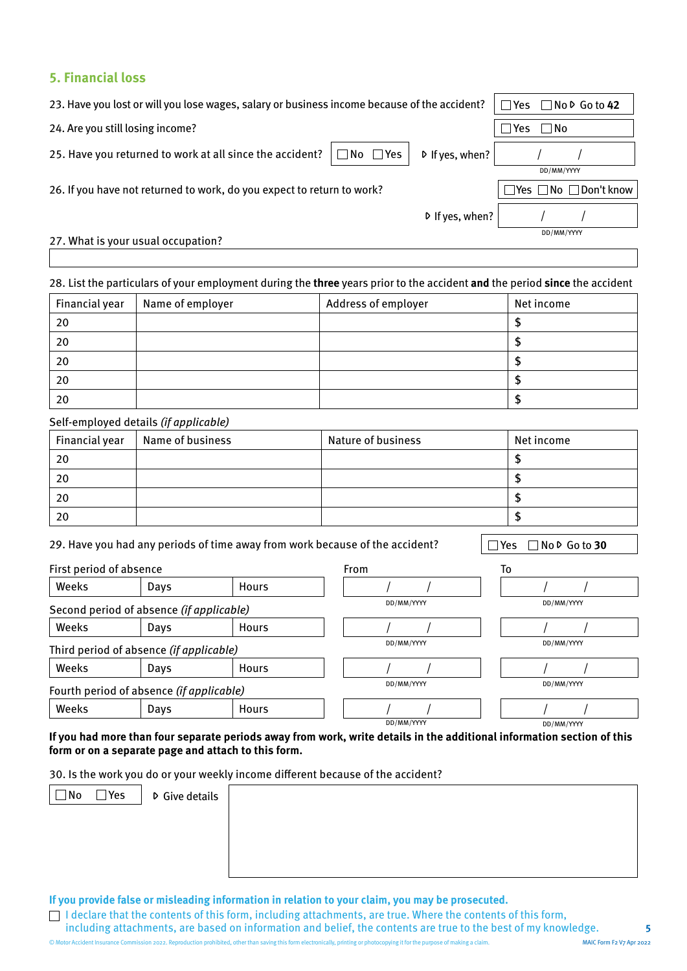## **5. Financial loss**

| 23. Have you lost or will you lose wages, salary or business income because of the accident?          | $\Box$ Yes<br>$\Box$ No $\triangleright$ Go to 42 |
|-------------------------------------------------------------------------------------------------------|---------------------------------------------------|
| 24. Are you still losing income?                                                                      | l Yes<br>   No                                    |
| $\Box$ No $\Box$ Yes<br>25. Have you returned to work at all since the accident?<br>$D$ If yes, when? |                                                   |
|                                                                                                       | DD/MM/YYYY                                        |
| 26. If you have not returned to work, do you expect to return to work?                                | $\Box$ No $\Box$ Don't know<br> Yes               |
| $D$ If yes, when?                                                                                     |                                                   |
| 27. What is your usual occupation?                                                                    | DD/MM/YYYY                                        |

#### 28. List the particulars of your employment during the **three** years prior to the accident **and** the period **since** the accident

| Financial year | Name of employer | Address of employer | Net income |
|----------------|------------------|---------------------|------------|
| 20             |                  |                     |            |
| 20             |                  |                     |            |
| 20             |                  |                     |            |
| 20             |                  |                     |            |
| 20             |                  |                     |            |

#### Self-employed details (if applicable)

| Financial year | Name of business | <b>Nature of business</b> | Net income |
|----------------|------------------|---------------------------|------------|
| 20             |                  |                           |            |
| 20             |                  |                           |            |
| 20             |                  |                           |            |
| 20             |                  |                           |            |

29. Have you had any periods of time away from work because of the accident?  $\Box$  Yes  $\Box$  No  $\Box$  Go to 30

| First period of absence                  |                                          |              | <b>From</b> | To         |
|------------------------------------------|------------------------------------------|--------------|-------------|------------|
| Weeks                                    | Days                                     | <b>Hours</b> |             |            |
| Second period of absence (if applicable) |                                          | DD/MM/YYYY   | DD/MM/YYYY  |            |
| Weeks                                    | Days                                     | <b>Hours</b> |             |            |
|                                          | Third period of absence (if applicable)  |              | DD/MM/YYYY  | DD/MM/YYYY |
| Weeks                                    | Days                                     | <b>Hours</b> |             |            |
|                                          | Fourth period of absence (if applicable) |              | DD/MM/YYYY  | DD/MM/YYYY |
| Weeks                                    | Days                                     | <b>Hours</b> |             |            |
|                                          |                                          |              | DD/MM/YYYY  | DD/MM/YYYY |

#### **If you had more than four separate periods away from work, write details in the additional information section of this form or on a separate page and attach to this form.**

30. Is the work you do or your weekly income different because of the accident?

 $\Box$  No  $\Box$  Yes  $\Box$  D Give details

**If you provide false or misleading information in relation to your claim, you may be prosecuted.** 

 $\Box$  I declare that the contents of this form, including attachments, are true. Where the contents of this form,

including attachments, are based on information and belief, the contents are true to the best of my knowledge.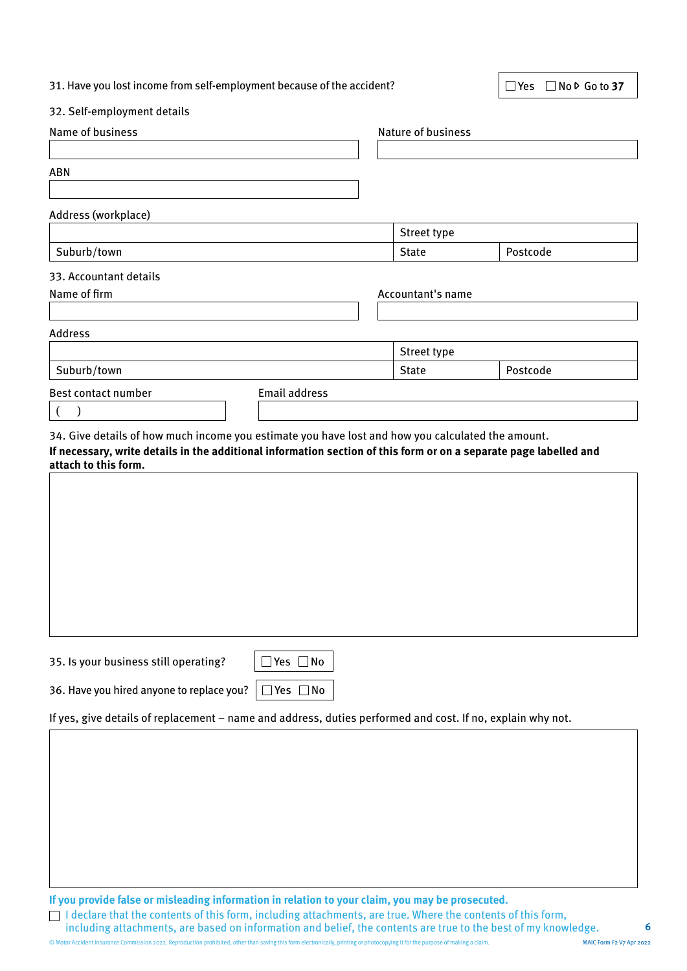|  |  |  |  | 31. Have you lost income from self-employment because of the accident? |
|--|--|--|--|------------------------------------------------------------------------|
|  |  |  |  |                                                                        |

■ Yes No D Go to 37

#### 32. Self-employment details

| Name of business                                                                                                                                                                                                                               |                      | Nature of business |          |  |
|------------------------------------------------------------------------------------------------------------------------------------------------------------------------------------------------------------------------------------------------|----------------------|--------------------|----------|--|
| <b>ABN</b>                                                                                                                                                                                                                                     |                      |                    |          |  |
| Address (workplace)                                                                                                                                                                                                                            |                      |                    |          |  |
|                                                                                                                                                                                                                                                |                      | Street type        |          |  |
| Suburb/town                                                                                                                                                                                                                                    |                      | <b>State</b>       | Postcode |  |
| 33. Accountant details                                                                                                                                                                                                                         |                      |                    |          |  |
| Name of firm                                                                                                                                                                                                                                   |                      | Accountant's name  |          |  |
|                                                                                                                                                                                                                                                |                      |                    |          |  |
| <b>Address</b>                                                                                                                                                                                                                                 |                      |                    |          |  |
|                                                                                                                                                                                                                                                |                      | Street type        |          |  |
| Suburb/town                                                                                                                                                                                                                                    |                      | <b>State</b>       | Postcode |  |
| Best contact number                                                                                                                                                                                                                            | <b>Email address</b> |                    |          |  |
| $\left($                                                                                                                                                                                                                                       |                      |                    |          |  |
| 34. Give details of how much income you estimate you have lost and how you calculated the amount.<br>If necessary, write details in the additional information section of this form or on a separate page labelled and<br>attach to this form. |                      |                    |          |  |
|                                                                                                                                                                                                                                                |                      |                    |          |  |
|                                                                                                                                                                                                                                                |                      |                    |          |  |
|                                                                                                                                                                                                                                                |                      |                    |          |  |
|                                                                                                                                                                                                                                                |                      |                    |          |  |
|                                                                                                                                                                                                                                                |                      |                    |          |  |
|                                                                                                                                                                                                                                                |                      |                    |          |  |
|                                                                                                                                                                                                                                                |                      |                    |          |  |

| 35. Is your business still operating?                  | $\Box$ Yes $\Box$ No |  |  |
|--------------------------------------------------------|----------------------|--|--|
|                                                        |                      |  |  |
| 36. Have you hired anyone to replace you?   □ Yes □ No |                      |  |  |

If yes, give details of replacement – name and address, duties performed and cost. If no, explain why not.

**If you provide false or misleading information in relation to your claim, you may be prosecuted.** 

I declare that the contents of this form, including attachments, are true. Where the contents of this form, including attachments, are based on information and belief, the contents are true to the best of my knowledge.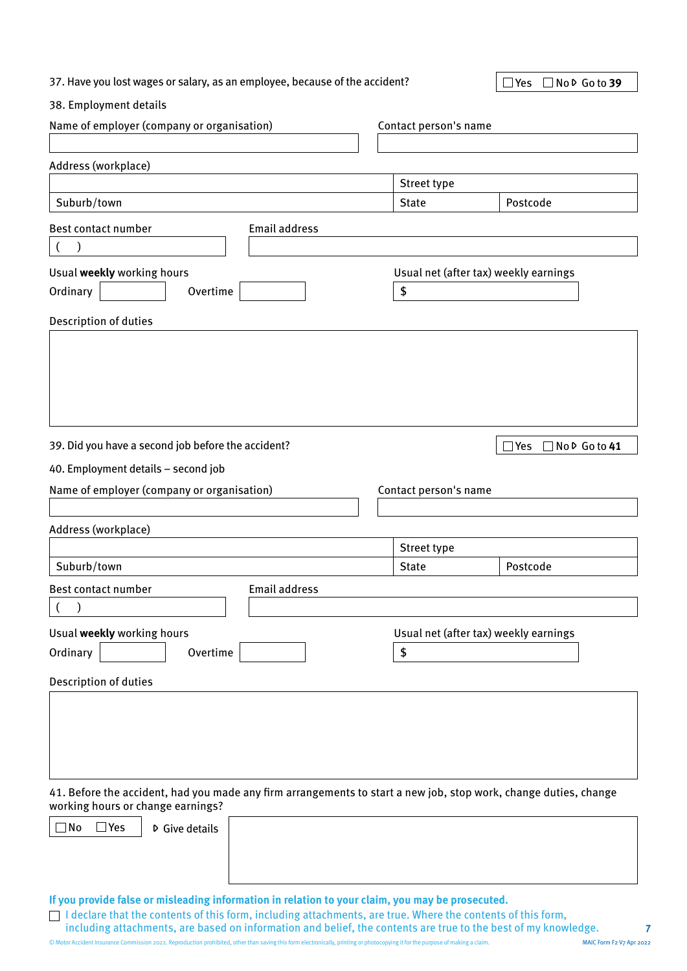| 37. Have you lost wages or salary, as an employee, because of the accident? | $\Box$ Yes $\Box$ No $\triangleright$ Go to 39 |  |
|-----------------------------------------------------------------------------|------------------------------------------------|--|
|-----------------------------------------------------------------------------|------------------------------------------------|--|

#### 38. Employment details

| Name of employer (company or organisation)                                                                                                                                                                    |                       | Contact person's name                 |  |  |  |  |
|---------------------------------------------------------------------------------------------------------------------------------------------------------------------------------------------------------------|-----------------------|---------------------------------------|--|--|--|--|
|                                                                                                                                                                                                               |                       |                                       |  |  |  |  |
| Address (workplace)                                                                                                                                                                                           |                       |                                       |  |  |  |  |
|                                                                                                                                                                                                               | Street type           |                                       |  |  |  |  |
| Suburb/town                                                                                                                                                                                                   | <b>State</b>          | Postcode                              |  |  |  |  |
| <b>Email address</b><br>Best contact number                                                                                                                                                                   |                       |                                       |  |  |  |  |
|                                                                                                                                                                                                               |                       |                                       |  |  |  |  |
| Usual weekly working hours                                                                                                                                                                                    |                       | Usual net (after tax) weekly earnings |  |  |  |  |
| Ordinary<br>Overtime                                                                                                                                                                                          | \$                    |                                       |  |  |  |  |
|                                                                                                                                                                                                               |                       |                                       |  |  |  |  |
| Description of duties                                                                                                                                                                                         |                       |                                       |  |  |  |  |
|                                                                                                                                                                                                               |                       |                                       |  |  |  |  |
| 39. Did you have a second job before the accident?                                                                                                                                                            |                       | $\square$ Yes<br>□No D Go to 41       |  |  |  |  |
| 40. Employment details - second job                                                                                                                                                                           |                       |                                       |  |  |  |  |
| Name of employer (company or organisation)                                                                                                                                                                    | Contact person's name |                                       |  |  |  |  |
|                                                                                                                                                                                                               |                       |                                       |  |  |  |  |
| Address (workplace)                                                                                                                                                                                           |                       |                                       |  |  |  |  |
|                                                                                                                                                                                                               | Street type           |                                       |  |  |  |  |
| Suburb/town                                                                                                                                                                                                   | <b>State</b>          | Postcode                              |  |  |  |  |
| <b>Email address</b><br>Best contact number                                                                                                                                                                   |                       |                                       |  |  |  |  |
|                                                                                                                                                                                                               |                       |                                       |  |  |  |  |
| Usual weekly working hours                                                                                                                                                                                    |                       | Usual net (after tax) weekly earnings |  |  |  |  |
| Ordinary<br>Overtime                                                                                                                                                                                          | \$                    |                                       |  |  |  |  |
|                                                                                                                                                                                                               |                       |                                       |  |  |  |  |
| Description of duties                                                                                                                                                                                         |                       |                                       |  |  |  |  |
|                                                                                                                                                                                                               |                       |                                       |  |  |  |  |
| 41. Before the accident, had you made any firm arrangements to start a new job, stop work, change duties, change<br>working hours or change earnings?                                                         |                       |                                       |  |  |  |  |
| $\Box$ Yes<br>  No<br><b>▷</b> Give details                                                                                                                                                                   |                       |                                       |  |  |  |  |
| If you provide false or misleading information in relation to your claim, you may be prosecuted.<br>declare that the contents of this form, including attachments, are true. Where the contents of this form, |                       |                                       |  |  |  |  |

including attachments, are based on information and belief, the contents are true to the best of my knowledge.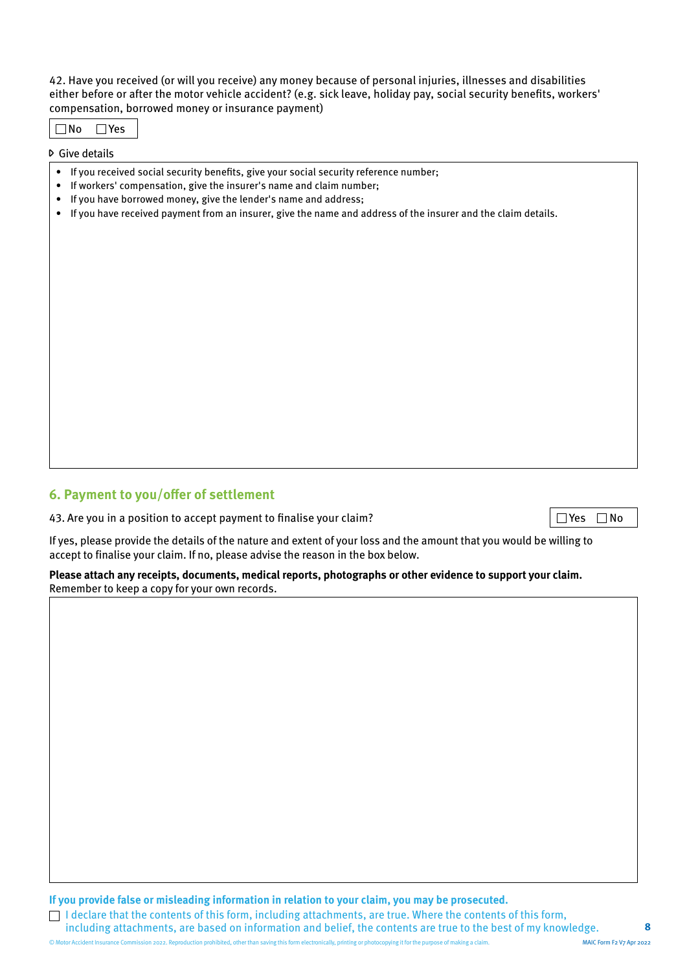42. Have you received (or will you receive) any money because of personal injuries, illnesses and disabilities either before or after the motor vehicle accident? (e.g. sick leave, holiday pay, social security benefits, workers' compensation, borrowed money or insurance payment)

No Yes

Give details

- If you received social security benefits, give your social security reference number;
- If workers' compensation, give the insurer's name and claim number;
- If you have borrowed money, give the lender's name and address;
- If you have received payment from an insurer, give the name and address of the insurer and the claim details.

## **6. Payment to you/offer of settlement**

43. Are you in a position to accept payment to finalise your claim?  $\Box$  Yes  $\Box$  Yes  $\Box$  No

If yes, please provide the details of the nature and extent of your loss and the amount that you would be willing to accept to finalise your claim. If no, please advise the reason in the box below.

**Please attach any receipts, documents, medical reports, photographs or other evidence to support your claim.**  Remember to keep a copy for your own records.

**If you provide false or misleading information in relation to your claim, you may be prosecuted.** 

 $\Box$  I declare that the contents of this form, including attachments, are true. Where the contents of this form, including attachments, are based on information and belief, the contents are true to the best of my knowledge.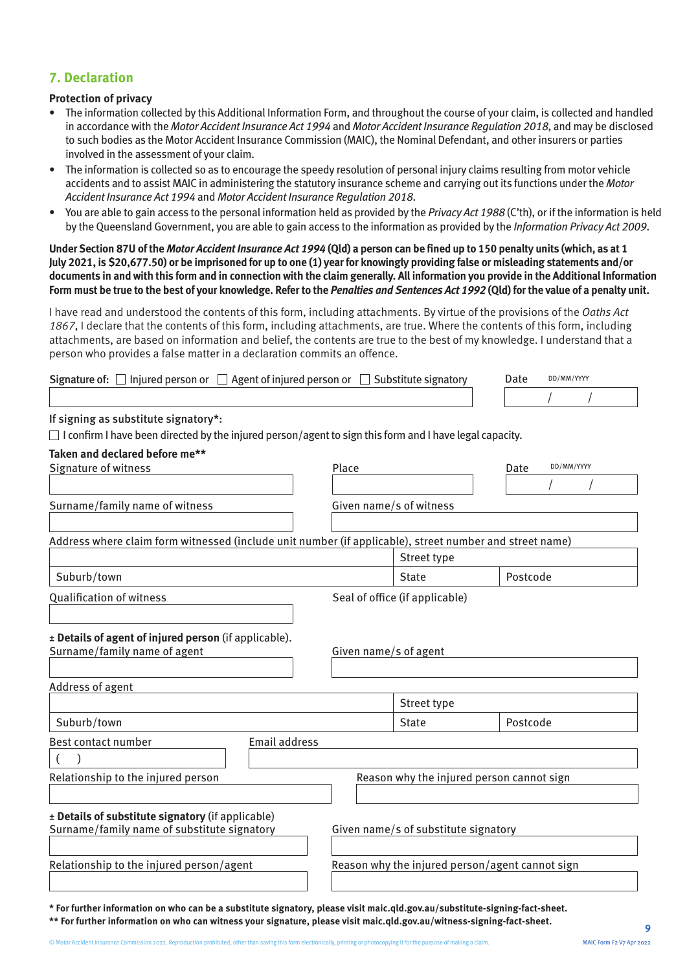## **7. Declaration**

#### **Protection of privacy**

- The information collected by this Additional Information Form, and throughout the course of your claim, is collected and handled in accordance with the Motor Accident Insurance Act 1994 and Motor Accident Insurance Regulation 2018, and may be disclosed to such bodies as the Motor Accident Insurance Commission (MAIC), the Nominal Defendant, and other insurers or parties involved in the assessment of your claim.
- The information is collected so as to encourage the speedy resolution of personal injury claims resulting from motor vehicle accidents and to assist MAIC in administering the statutory insurance scheme and carrying out its functions under the Motor Accident Insurance Act 1994 and Motor Accident Insurance Regulation 2018.
- You are able to gain access to the personal information held as provided by the *Privacy Act 1988* (C'th), or if the information is held by the Queensland Government, you are able to gain access to the information as provided by the *Information Privacy Act 2009*.

**Under Section 87U of the Motor Accident Insurance Act 1994 (Qld) a person can be fined up to 150 penalty units (which, as at 1 July 2021, is \$20,677.50) or be imprisoned for up to one (1) year for knowingly providing false or misleading statements and/or documents in and with this form and in connection with the claim generally. All information you provide in the Additional Information Form must be true to the best of your knowledge. Refer to the Penalties and Sentences Act 1992 (Qld) for the value of a penalty unit.**

I have read and understood the contents of this form, including attachments. By virtue of the provisions of the Oaths Act 1867, I declare that the contents of this form, including attachments, are true. Where the contents of this form, including attachments, are based on information and belief, the contents are true to the best of my knowledge. I understand that a person who provides a false matter in a declaration commits an offence.

| <b>Signature of:</b> $\Box$ Injured person or $\Box$ Agent of injured person or $\Box$ Substitute signatory    | Date | DD/MM/YYYY |  |  |
|----------------------------------------------------------------------------------------------------------------|------|------------|--|--|
|                                                                                                                |      |            |  |  |
| If signing as substitute signatory*:                                                                           |      |            |  |  |
| $\Box$ I confirm I have been directed by the injured person/agent to sign this form and I have legal capacity. |      |            |  |  |

| Taken and declared before me**                                                                          |                                      |                                                 |                                           |                    |  |  |
|---------------------------------------------------------------------------------------------------------|--------------------------------------|-------------------------------------------------|-------------------------------------------|--------------------|--|--|
| Signature of witness                                                                                    |                                      | Place                                           |                                           | DD/MM/YYYY<br>Date |  |  |
|                                                                                                         |                                      |                                                 |                                           |                    |  |  |
| Surname/family name of witness                                                                          |                                      | Given name/s of witness                         |                                           |                    |  |  |
| Address where claim form witnessed (include unit number (if applicable), street number and street name) |                                      |                                                 |                                           |                    |  |  |
|                                                                                                         |                                      |                                                 | Street type                               |                    |  |  |
| Suburb/town                                                                                             |                                      |                                                 | <b>State</b>                              | Postcode           |  |  |
| <b>Qualification of witness</b>                                                                         |                                      | Seal of office (if applicable)                  |                                           |                    |  |  |
|                                                                                                         |                                      |                                                 |                                           |                    |  |  |
| ± Details of agent of injured person (if applicable).<br>Surname/family name of agent                   |                                      | Given name/s of agent                           |                                           |                    |  |  |
|                                                                                                         |                                      |                                                 |                                           |                    |  |  |
| Address of agent                                                                                        |                                      |                                                 |                                           |                    |  |  |
|                                                                                                         |                                      |                                                 | Street type                               |                    |  |  |
| Suburb/town                                                                                             |                                      |                                                 | <b>State</b>                              | Postcode           |  |  |
| Best contact number                                                                                     | <b>Email address</b>                 |                                                 |                                           |                    |  |  |
|                                                                                                         |                                      |                                                 |                                           |                    |  |  |
| Relationship to the injured person                                                                      |                                      |                                                 | Reason why the injured person cannot sign |                    |  |  |
|                                                                                                         |                                      |                                                 |                                           |                    |  |  |
| ± Details of substitute signatory (if applicable)                                                       |                                      |                                                 |                                           |                    |  |  |
| Surname/family name of substitute signatory                                                             | Given name/s of substitute signatory |                                                 |                                           |                    |  |  |
|                                                                                                         |                                      |                                                 |                                           |                    |  |  |
| Relationship to the injured person/agent                                                                |                                      | Reason why the injured person/agent cannot sign |                                           |                    |  |  |
|                                                                                                         |                                      |                                                 |                                           |                    |  |  |
|                                                                                                         |                                      |                                                 |                                           |                    |  |  |

**\* For further information on who can be a substitute signatory, please visit [maic.qld.gov.au/substitute-signing-fact-sheet.](https://maic.qld.gov.au/wp-content/uploads/2022/04/maic-forms-fact-sheet-substitute-signatory.pdf) \*\* For further information on who can witness your signature, please visit [maic.qld.gov.au/witness-signing-fact-sheet.](https://maic.qld.gov.au/wp-content/uploads/2022/04/maic-forms-fact-sheet-physical-signing-and-witnessing.pdf) <sup>9</sup>**